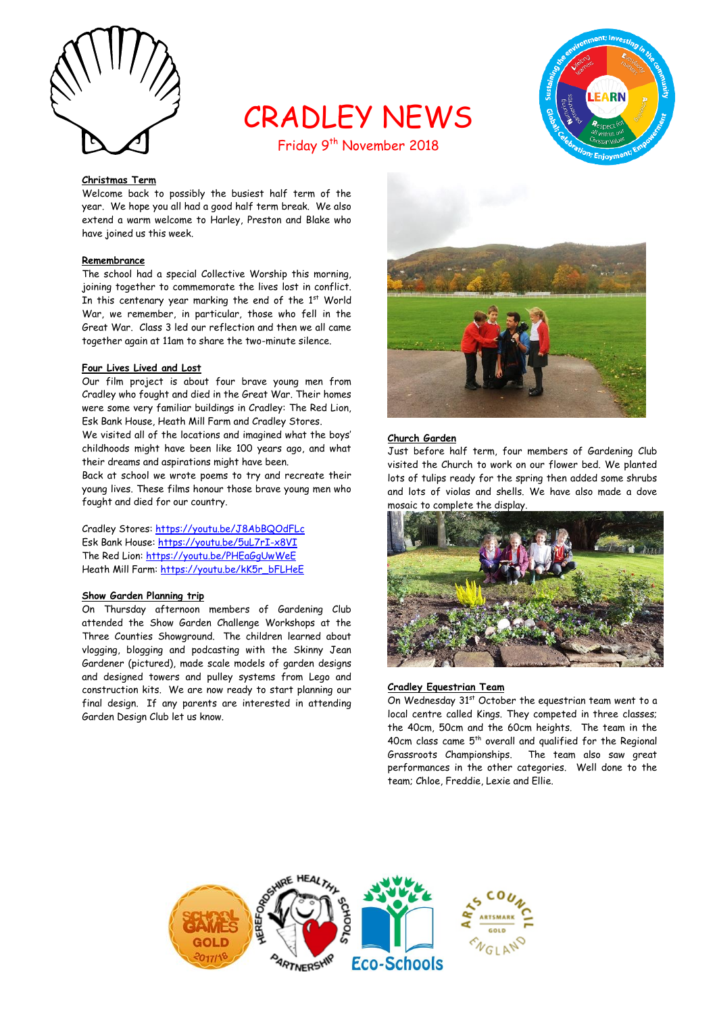

# CRADLEY NEWS



## Friday 9<sup>th</sup> November 2018

#### **Christmas Term**

Welcome back to possibly the busiest half term of the year. We hope you all had a good half term break. We also extend a warm welcome to Harley, Preston and Blake who have joined us this week.

#### **Remembrance**

The school had a special Collective Worship this morning, joining together to commemorate the lives lost in conflict. In this centenary year marking the end of the  $1<sup>st</sup>$  World War, we remember, in particular, those who fell in the Great War. Class 3 led our reflection and then we all came together again at 11am to share the two-minute silence.

#### **Four Lives Lived and Lost**

Our film project is about four brave young men from Cradley who fought and died in the Great War. Their homes were some very familiar buildings in Cradley: The Red Lion, Esk Bank House, Heath Mill Farm and Cradley Stores.

We visited all of the locations and imagined what the boys' childhoods might have been like 100 years ago, and what their dreams and aspirations might have been.

Back at school we wrote poems to try and recreate their young lives. These films honour those brave young men who fought and died for our country.

Cradley Stores:<https://youtu.be/J8AbBQOdFLc> Esk Bank House:<https://youtu.be/5uL7rI-x8VI> The Red Lion:<https://youtu.be/PHEaGgUwWeE> Heath Mill Farm[: https://youtu.be/kK5r\\_bFLHeE](https://youtu.be/kK5r_bFLHeE)

#### **Show Garden Planning trip**

On Thursday afternoon members of Gardening Club attended the Show Garden Challenge Workshops at the Three Counties Showground. The children learned about vlogging, blogging and podcasting with the Skinny Jean Gardener (pictured), made scale models of garden designs and designed towers and pulley systems from Lego and construction kits. We are now ready to start planning our final design. If any parents are interested in attending Garden Design Club let us know.



#### **Church Garden**

Just before half term, four members of Gardening Club visited the Church to work on our flower bed. We planted lots of tulips ready for the spring then added some shrubs and lots of violas and shells. We have also made a dove mosaic to complete the display.



#### **Cradley Equestrian Team**

On Wednesday 31<sup>st</sup> October the equestrian team went to a local centre called Kings. They competed in three classes; the 40cm, 50cm and the 60cm heights. The team in the 40cm class came  $5<sup>th</sup>$  overall and qualified for the Regional Grassroots Championships. The team also saw great performances in the other categories. Well done to the team; Chloe, Freddie, Lexie and Ellie.

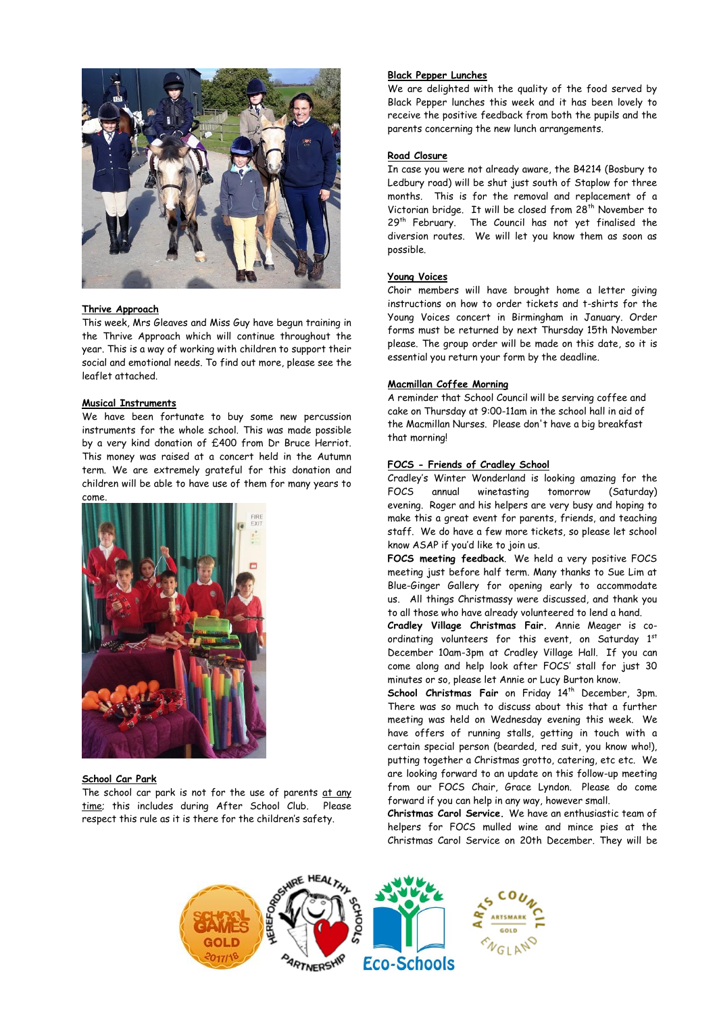

#### **Thrive Approach**

This week, Mrs Gleaves and Miss Guy have begun training in the Thrive Approach which will continue throughout the year. This is a way of working with children to support their social and emotional needs. To find out more, please see the leaflet attached.

#### **Musical Instruments**

We have been fortunate to buy some new percussion instruments for the whole school. This was made possible by a very kind donation of £400 from Dr Bruce Herriot. This money was raised at a concert held in the Autumn term. We are extremely grateful for this donation and children will be able to have use of them for many years to come.



## **School Car Park**

The school car park is not for the use of parents at any time; this includes during After School Club. Please respect this rule as it is there for the children's safety.

#### **Black Pepper Lunches**

We are delighted with the quality of the food served by Black Pepper lunches this week and it has been lovely to receive the positive feedback from both the pupils and the parents concerning the new lunch arrangements.

#### **Road Closure**

In case you were not already aware, the B4214 (Bosbury to Ledbury road) will be shut just south of Staplow for three months. This is for the removal and replacement of a Victorian bridge. It will be closed from 28<sup>th</sup> November to 29<sup>th</sup> February. The Council has not yet finalised the diversion routes. We will let you know them as soon as possible.

#### **Young Voices**

Choir members will have brought home a letter giving instructions on how to order tickets and t-shirts for the Young Voices concert in Birmingham in January. Order forms must be returned by next Thursday 15th November please. The group order will be made on this date, so it is essential you return your form by the deadline.

#### **Macmillan Coffee Morning**

A reminder that School Council will be serving coffee and cake on Thursday at 9:00-11am in the school hall in aid of the Macmillan Nurses. Please don't have a big breakfast that morning!

#### **FOCS - Friends of Cradley School**

Cradley's Winter Wonderland is looking amazing for the FOCS annual winetasting tomorrow (Saturday) evening. Roger and his helpers are very busy and hoping to make this a great event for parents, friends, and teaching staff. We do have a few more tickets, so please let school know ASAP if you'd like to join us.

**FOCS meeting feedback**. We held a very positive FOCS meeting just before half term. Many thanks to Sue Lim at Blue-Ginger Gallery for opening early to accommodate us. All things Christmassy were discussed, and thank you to all those who have already volunteered to lend a hand.

**Cradley Village Christmas Fair.** Annie Meager is coordinating volunteers for this event, on Saturday 1st December 10am-3pm at Cradley Village Hall. If you can come along and help look after FOCS' stall for just 30 minutes or so, please let Annie or Lucy Burton know.

School Christmas Fair on Friday 14<sup>th</sup> December, 3pm. There was so much to discuss about this that a further meeting was held on Wednesday evening this week. We have offers of running stalls, getting in touch with a certain special person (bearded, red suit, you know who!), putting together a Christmas grotto, catering, etc etc. We are looking forward to an update on this follow-up meeting from our FOCS Chair, Grace Lyndon. Please do come forward if you can help in any way, however small.

**Christmas Carol Service.** We have an enthusiastic team of helpers for FOCS mulled wine and mince pies at the Christmas Carol Service on 20th December. They will be

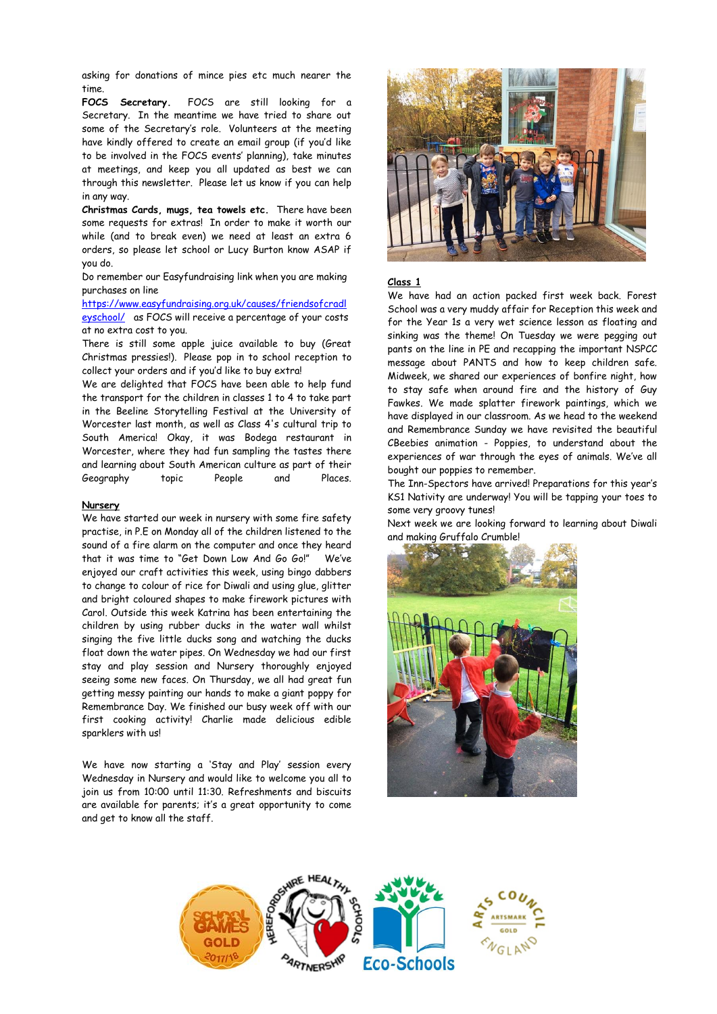asking for donations of mince pies etc much nearer the time.

**FOCS Secretary.** FOCS are still looking for a Secretary. In the meantime we have tried to share out some of the Secretary's role. Volunteers at the meeting have kindly offered to create an email group (if you'd like to be involved in the FOCS events' planning), take minutes at meetings, and keep you all updated as best we can through this newsletter. Please let us know if you can help in any way.

**Christmas Cards, mugs, tea towels etc.** There have been some requests for extras! In order to make it worth our while (and to break even) we need at least an extra 6 orders, so please let school or Lucy Burton know ASAP if you do.

Do remember our Easyfundraising link when you are making purchases on line

[https://www.easyfundraising.org.uk/causes/friendsofcradl](https://www.easyfundraising.org.uk/causes/friendsofcradleyschool/) [eyschool/](https://www.easyfundraising.org.uk/causes/friendsofcradleyschool/) as FOCS will receive a percentage of your costs at no extra cost to you.

There is still some apple juice available to buy (Great Christmas pressies!). Please pop in to school reception to collect your orders and if you'd like to buy extra!

We are delighted that FOCS have been able to help fund the transport for the children in classes 1 to 4 to take part in the Beeline Storytelling Festival at the University of Worcester last month, as well as Class 4's cultural trip to South America! Okay, it was Bodega restaurant in Worcester, where they had fun sampling the tastes there and learning about South American culture as part of their Geography topic People and Places.

#### **Nursery**

We have started our week in nursery with some fire safety practise, in P.E on Monday all of the children listened to the sound of a fire alarm on the computer and once they heard that it was time to "Get Down Low And Go Go!" We've enjoyed our craft activities this week, using bingo dabbers to change to colour of rice for Diwali and using glue, glitter and bright coloured shapes to make firework pictures with Carol. Outside this week Katrina has been entertaining the children by using rubber ducks in the water wall whilst singing the five little ducks song and watching the ducks float down the water pipes. On Wednesday we had our first stay and play session and Nursery thoroughly enjoyed seeing some new faces. On Thursday, we all had great fun getting messy painting our hands to make a giant poppy for Remembrance Day. We finished our busy week off with our first cooking activity! Charlie made delicious edible sparklers with us!

We have now starting a 'Stay and Play' session every Wednesday in Nursery and would like to welcome you all to join us from 10:00 until 11:30. Refreshments and biscuits are available for parents; it's a great opportunity to come and get to know all the staff.



#### **Class 1**

We have had an action packed first week back. Forest School was a very muddy affair for Reception this week and for the Year 1s a very wet science lesson as floating and sinking was the theme! On Tuesday we were pegging out pants on the line in PE and recapping the important NSPCC message about PANTS and how to keep children safe. Midweek, we shared our experiences of bonfire night, how to stay safe when around fire and the history of Guy Fawkes. We made splatter firework paintings, which we have displayed in our classroom. As we head to the weekend and Remembrance Sunday we have revisited the beautiful CBeebies animation - Poppies, to understand about the experiences of war through the eyes of animals. We've all bought our poppies to remember.

The Inn-Spectors have arrived! Preparations for this year's KS1 Nativity are underway! You will be tapping your toes to some very groovy tunes!

Next week we are looking forward to learning about Diwali and making Gruffalo Crumble!